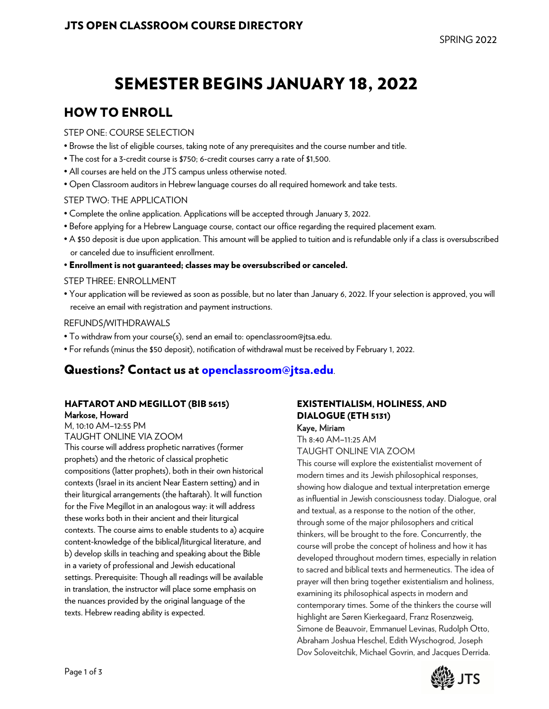# SEMESTER BEGINS JANUARY 18, 2022

# HOW TO ENROLL

#### STEP ONE: COURSE SELECTION

- Browse the list of eligible courses, taking note of any prerequisites and the course number and title.
- The cost for a 3-credit course is \$750; 6-credit courses carry a rate of \$1,500.
- All courses are held on the JTS campus unless otherwise noted.
- Open Classroom auditors in Hebrew language courses do all required homework and take tests.

#### STEP TWO: THE APPLICATION

- Complete the online application. Applications will be accepted through January 3, 2022.
- Before applying for a Hebrew Language course, contact our office regarding the required placement exam.
- A \$50 deposit is due upon application. This amount will be applied to tuition and is refundable only if a class is oversubscribed or canceled due to insufficient enrollment.
- Enrollment is not guaranteed; classes may be oversubscribed or canceled.

#### STEP THREE: ENROLLMENT

• Your application will be reviewed as soon as possible, but no later than January 6, 2022. If your selection is approved, you will receive an email with registration and payment instructions.

#### REFUNDS/WITHDRAWALS

- To withdraw from your course(s), send an email to: openclassroom@jtsa.edu.
- For refunds (minus the \$50 deposit), notification of withdrawal must be received by February 1, 2022.

# Questions? Contact us at openclassroom@jtsa.edu.

#### HAFTAROT AND MEGILLOT (BIB 5615) Markose, Howard

M, 10:10 AM–12:55 PM TAUGHT ONLINE VIA ZOOM

This course will address prophetic narratives (former prophets) and the rhetoric of classical prophetic compositions (latter prophets), both in their own historical contexts (Israel in its ancient Near Eastern setting) and in their liturgical arrangements (the haftarah). It will function for the Five Megillot in an analogous way: it will address these works both in their ancient and their liturgical contexts. The course aims to enable students to a) acquire content-knowledge of the biblical/liturgical literature, and b) develop skills in teaching and speaking about the Bible in a variety of professional and Jewish educational settings. Prerequisite: Though all readings will be available in translation, the instructor will place some emphasis on the nuances provided by the original language of the texts. Hebrew reading ability is expected.

#### EXISTENTIALISM, HOLINESS, AND DIALOGUE (ETH 5131) Kaye, Miriam

Th 8:40 AM–11:25 AM

TAUGHT ONLINE VIA ZOOM

This course will explore the existentialist movement of modern times and its Jewish philosophical responses, showing how dialogue and textual interpretation emerge as influential in Jewish consciousness today. Dialogue, oral and textual, as a response to the notion of the other, through some of the major philosophers and critical thinkers, will be brought to the fore. Concurrently, the course will probe the concept of holiness and how it has developed throughout modern times, especially in relation to sacred and biblical texts and hermeneutics. The idea of prayer will then bring together existentialism and holiness, examining its philosophical aspects in modern and contemporary times. Some of the thinkers the course will highlight are Søren Kierkegaard, Franz Rosenzweig, Simone de Beauvoir, Emmanuel Levinas, Rudolph Otto, Abraham Joshua Heschel, Edith Wyschogrod, Joseph Dov Soloveitchik, Michael Govrin, and Jacques Derrida.

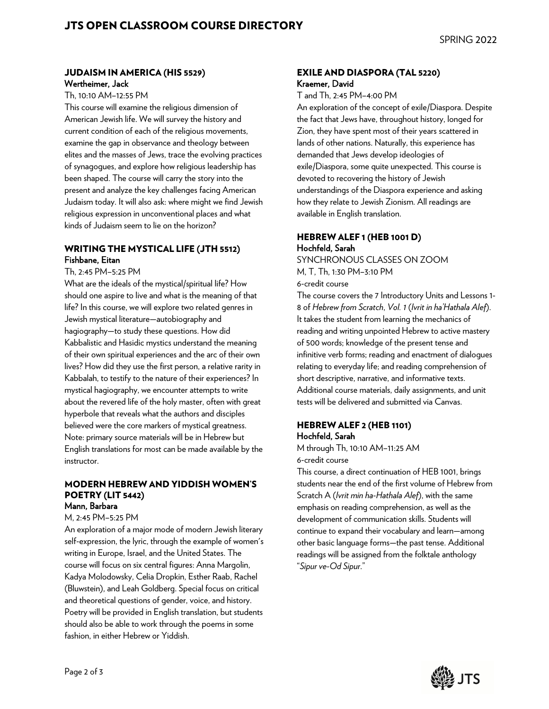#### JUDAISM IN AMERICA (HIS 5529) Wertheimer, Jack

Th, 10:10 AM–12:55 PM

This course will examine the religious dimension of American Jewish life. We will survey the history and current condition of each of the religious movements, examine the gap in observance and theology between elites and the masses of Jews, trace the evolving practices of synagogues, and explore how religious leadership has been shaped. The course will carry the story into the present and analyze the key challenges facing American Judaism today. It will also ask: where might we find Jewish religious expression in unconventional places and what kinds of Judaism seem to lie on the horizon?

#### WRITING THE MYSTICAL LIFE (JTH 5512) Fishbane, Eitan

Th, 2:45 PM–5:25 PM

What are the ideals of the mystical/spiritual life? How should one aspire to live and what is the meaning of that life? In this course, we will explore two related genres in Jewish mystical literature—autobiography and hagiography—to study these questions. How did Kabbalistic and Hasidic mystics understand the meaning of their own spiritual experiences and the arc of their own lives? How did they use the first person, a relative rarity in Kabbalah, to testify to the nature of their experiences? In mystical hagiography, we encounter attempts to write about the revered life of the holy master, often with great hyperbole that reveals what the authors and disciples believed were the core markers of mystical greatness. Note: primary source materials will be in Hebrew but English translations for most can be made available by the instructor.

#### MODERN HEBREW AND YIDDISH WOMEN'S POETRY (LIT 5442) Mann, Barbara

M, 2:45 PM–5:25 PM An exploration of a major mode of modern Jewish literary self-expression, the lyric, through the example of women's writing in Europe, Israel, and the United States. The course will focus on six central figures: Anna Margolin, Kadya Molodowsky, Celia Dropkin, Esther Raab, Rachel (Bluwstein), and Leah Goldberg. Special focus on critical

and theoretical questions of gender, voice, and history. Poetry will be provided in English translation, but students should also be able to work through the poems in some fashion, in either Hebrew or Yiddish.

#### EXILE AND DIASPORA (TAL 5220) Kraemer, David

T and Th, 2:45 PM–4:00 PM

An exploration of the concept of exile/Diaspora. Despite the fact that Jews have, throughout history, longed for Zion, they have spent most of their years scattered in lands of other nations. Naturally, this experience has demanded that Jews develop ideologies of exile/Diaspora, some quite unexpected. This course is devoted to recovering the history of Jewish understandings of the Diaspora experience and asking how they relate to Jewish Zionism. All readings are available in English translation.

#### HEBREW ALEF 1 (HEB 1001 D) Hochfeld, Sarah

SYNCHRONOUS CLASSES ON ZOOM M, T, Th, 1:30 PM–3:10 PM 6-credit course

The course covers the 7 Introductory Units and Lessons 1- 8 of *Hebrew from Scratch*, *Vol. 1* (*Ivrit in ha'Hathala Alef*). It takes the student from learning the mechanics of reading and writing unpointed Hebrew to active mastery of 500 words; knowledge of the present tense and infinitive verb forms; reading and enactment of dialogues relating to everyday life; and reading comprehension of short descriptive, narrative, and informative texts. Additional course materials, daily assignments, and unit tests will be delivered and submitted via Canvas.

#### HEBREW ALEF 2 (HEB 1101) Hochfeld, Sarah

M through Th, 10:10 AM–11:25 AM 6-credit course

This course, a direct continuation of HEB 1001, brings students near the end of the first volume of Hebrew from Scratch A (*Ivrit min ha-Hathala Alef*), with the same emphasis on reading comprehension, as well as the development of communication skills. Students will continue to expand their vocabulary and learn—among other basic language forms—the past tense. Additional readings will be assigned from the folktale anthology "*Sipur ve-Od Sipur*."